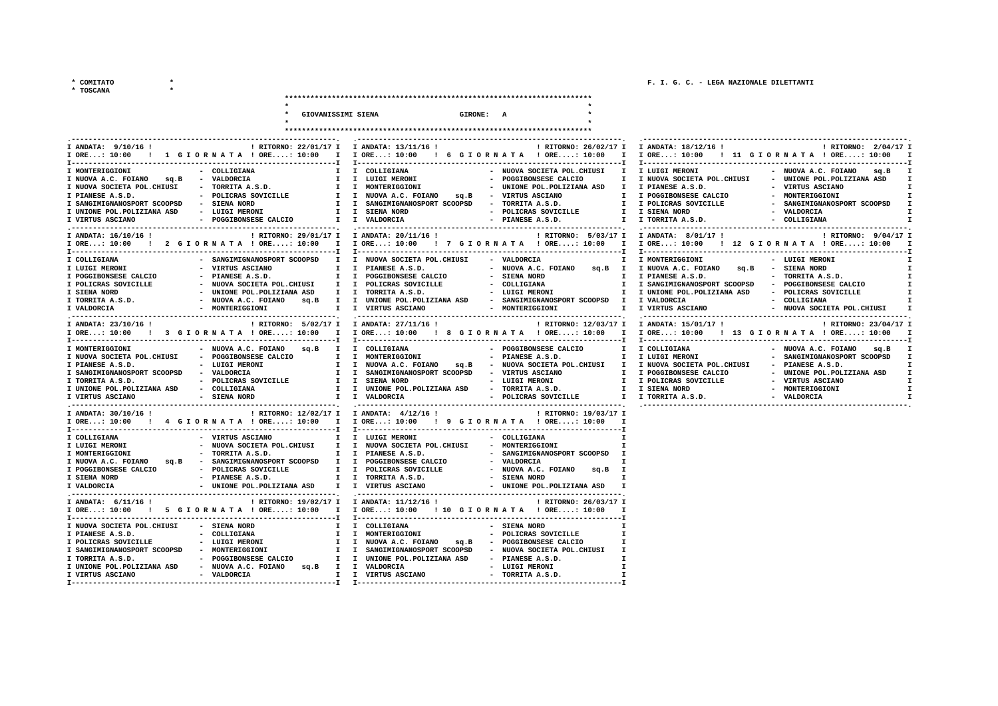\* COMITATO

\* TOSCANA

 $\star$ 

 $\star$ 

|                                                                                                                                                                                                                                                                                                                         | GIOVANISSIMI SIENA<br>GIRONE: A                                                                                                                                                                                                                                                                                                                                                                                                               |                                                                                                                                                                                                                                                                                                                                                                        |
|-------------------------------------------------------------------------------------------------------------------------------------------------------------------------------------------------------------------------------------------------------------------------------------------------------------------------|-----------------------------------------------------------------------------------------------------------------------------------------------------------------------------------------------------------------------------------------------------------------------------------------------------------------------------------------------------------------------------------------------------------------------------------------------|------------------------------------------------------------------------------------------------------------------------------------------------------------------------------------------------------------------------------------------------------------------------------------------------------------------------------------------------------------------------|
|                                                                                                                                                                                                                                                                                                                         |                                                                                                                                                                                                                                                                                                                                                                                                                                               |                                                                                                                                                                                                                                                                                                                                                                        |
| ----------------------                                                                                                                                                                                                                                                                                                  |                                                                                                                                                                                                                                                                                                                                                                                                                                               |                                                                                                                                                                                                                                                                                                                                                                        |
| I ANDATA: 9/10/16 !                                                                                                                                                                                                                                                                                                     | ! RITORNO: 22/01/17 I I ANDATA: 13/11/16 !<br>! RITORNO: 26/02/17 I I ANDATA: 18/12/16 !<br>IORE: 10:00 ! 1 GIORNATA !ORE: 10:00 I IORE: 10:00 ! 6 GIORNATA !ORE: 10:00 I IORE: 10:00 ! 11 GIORNATA !ORE: 10:00 I                                                                                                                                                                                                                             | ! RITORNO: 2/04/17 I                                                                                                                                                                                                                                                                                                                                                   |
| - COLLIGIANA<br>I MONTERIGGIONI<br>- VALDORCIA<br>I NUOVA A.C. FOIANO<br>sq.B<br>I NUOVA SOCIETA POL.CHIUSI<br>- TORRITA A.S.D.<br>- POLICRAS SOVICILLE<br>I PIANESE A.S.D.<br>I SANGIMIGNANOSPORT SCOOPSD<br>- SIENA NORD<br>I UNIONE POL.POLIZIANA ASD<br>- LUIGI MERONI<br>I VIRTUS ASCIANO<br>- POGGIBONSESE CALCIO | I I COLLIGIANA<br>- NUOVA SOCIETA POL. CHIUSI I I LUIGI MERONI<br>I I LUIGI MERONI<br>- POGGIBONSESE CALCIO<br>- UNIONE POL.POLIZIANA ASD<br>I I MONTERIGGIONI<br>I I NUOVA A.C. FOIANO sq.B - VIRTUS ASCIANO<br>I I SANGIMIGNANOSPORT SCOOPSD<br>- TORRITA A.S.D.<br>I I SIENA NORD<br>- POLICRAS SOVICILLE<br>I I VALDORCIA<br>- PIANESE A.S.D.                                                                                             | - NUOVA A.C. FOIANO<br>sq.B<br>I I NUOVA SOCIETA POL. CHIUSI<br>- UNIONE POL. POLIZIANA ASD<br>I<br>I I PIANESE A.S.D.<br>- VIRTUS ASCIANO<br>I<br>I I POGGIBONSESE CALCIO<br>- MONTERIGGIONI<br>I<br>I I POLICRAS SOVICILLE<br>- SANGIMIGNANOSPORT SCOOPSD<br>I<br>I I SIENA NORD<br>- VALDORCIA<br>I<br>I I TORRITA A.S.D.<br>- COLLIGIANA<br>I                      |
| I ANDATA: 16/10/16 !<br>I ORE: 10:00 ! 2 G I O R N A T A ! ORE: 10:00 I I ORE: 10:00                                                                                                                                                                                                                                    | ! RITORNO: 29/01/17 I I ANDATA: 20/11/16 !<br>! RITORNO: 5/03/17 I I ANDATA: 8/01/17 !                                                                                                                                                                                                                                                                                                                                                        | __________________________________<br>! RITORNO: 9/04/17 I<br>! 7 GIORNATA ! ORE: 10:00 I I ORE: 10:00 ! 12 GIORNATA ! ORE: 10:00 I<br>T-----------------------------                                                                                                                                                                                                  |
| I COLLIGIANA<br>I LUIGI MERONI<br>- VIRTUS ASCIANO<br>I POGGIBONSESE CALCIO<br>- PIANESE A.S.D.<br>I POLICRAS SOVICILLE<br>- NUOVA SOCIETA POL.CHIUSI<br>I SIENA NORD<br>- UNIONE POL. POLIZIANA ASD<br>I TORRITA A.S.D.<br>- NUOVA A.C. FOIANO<br>I VALDORCIA<br>- MONTERIGGIONI                                       | - SANGIMIGNANOSPORT SCOOPSD I I NUOVA SOCIETA POL.CHIUSI<br>- VALDORCIA<br>- NUOVA A.C. FOIANO<br>I I PIANESE A.S.D.<br>I I POGGIBONSESE CALCIO<br>- SIENA NORD<br>I.<br>I I POLICRAS SOVICILLE<br>- COLLIGIANA<br>I.<br>- LUIGI MERONI<br>I I TORRITA A.S.D.<br>I I UNIONE POL. POLIZIANA ASD<br>- SANGIMIGNANOSPORT SCOOPSD I I VALDORCIA<br>sq.B<br>I VIRTUS ASCIANO<br>- MONTERIGGIONI<br>--------------------------------                | I I MONTERIGGIONI<br>- LUIGI MERONI<br>sq.B I I NUOVA A.C. FOIANO<br>- SIENA NORD<br>sq.B<br>I<br>I PIANESE A.S.D.<br>- TORRITA A.S.D.<br>I<br>I SANGIMIGNANOSPORT SCOOPSD<br>- POGGIBONSESE CALCIO<br>I<br>I I UNIONE POL. POLIZIANA ASD<br>- POLICRAS SOVICILLE<br>I<br>- COLLIGIANA<br>I<br>I I VIRTUS ASCIANO<br>- NUOVA SOCIETA POL.CHIUSI<br>I                   |
| I ANDATA: 23/10/16 !<br>! RITORNO: 5/02/17 I                                                                                                                                                                                                                                                                            | I ANDATA: 27/11/16 !<br>! RITORNO: 12/03/17 I I ANDATA: 15/01/17 !<br>IORE: 10:00 ! 3 GIORNATA !ORE: 10:00 I IORE: 10:00 ! 8 GIORNATA !ORE: 10:00 I IORE: 10:00 ! 13 GIORNATA !ORE: 10:00                                                                                                                                                                                                                                                     | ! RITORNO: 23/04/17 I                                                                                                                                                                                                                                                                                                                                                  |
| I MONTERIGGIONI<br>- NUOVA A.C. FOIANO<br>- POGGIBONSESE CALCIO<br>I NUOVA SOCIETA POL.CHIUSI<br>- LUIGI MERONI<br>I PIANESE A.S.D.<br>I SANGIMIGNANOSPORT SCOOPSD<br>- VALDORCIA<br>- POLICRAS SOVICILLE<br>I TORRITA A.S.D.<br>I UNIONE POL.POLIZIANA ASD<br>- COLLIGIANA<br>I VIRTUS ASCIANO<br>- SIENA NORD         | - T-----------------------------<br>----------------------------T<br>sq.B<br>I I COLLIGIANA<br>- POGGIBONSESE CALCIO<br>I I MONTERIGGIONI<br>- PIANESE A.S.D.<br>sq.B - NUOVA SOCIETA POL.CHIUSI I I NUOVA SOCIETA POL.CHIUSI<br>I I NUOVA A.C. FOIANO<br>I I SANGIMIGNANOSPORT SCOOPSD<br>- VIRTUS ASCIANO<br>- LUIGI MERONI<br>I I SIENA NORD<br>I I UNIONE POL. POLIZIANA ASD<br>- TORRITA A.S.D.<br>I I VALDORCIA<br>- POLICRAS SOVICILLE | - T-----------------<br>I I COLLIGIANA<br>- NUOVA A.C. FOIANO<br>sq.B<br>I I LUIGI MERONI<br>- SANGIMIGNANOSPORT SCOOPSD<br>I<br>- PIANESE A.S.D.<br>I<br>I I POGGIBONSESE CALCIO<br>- UNIONE POL.POLIZIANA ASD<br>I<br>I I POLICRAS SOVICILLE<br>- VIRTUS ASCIANO<br>I<br>$\mathbf{I}$<br>I I SIENA NORD<br>- MONTERIGGIONI<br>I I TORRITA A.S.D.<br>I<br>- VALDORCIA |
| ------------------------------------<br>I ANDATA: 30/10/16 !                                                                                                                                                                                                                                                            | ! RITORNO: 12/02/17 I I ANDATA: 4/12/16 !<br>! RITORNO: 19/03/17 I<br>IORE: 10:00! 4 GIORNATA !ORE: 10:00 I IORE: 10:00 ! 9 GIORNATA !ORE: 10:00                                                                                                                                                                                                                                                                                              |                                                                                                                                                                                                                                                                                                                                                                        |
| - VIRTUS ASCIANO<br>I COLLIGIANA<br>- NUOVA SOCIETA POL.CHIUSI<br>I LUIGI MERONI<br>I MONTERIGGIONI<br>- TORRITA A.S.D.<br>I NUOVA A.C. FOIANO<br>sq.B<br>I POGGIBONSESE CALCIO<br>- POLICRAS SOVICILLE<br>I SIENA NORD<br>- PIANESE A.S.D.<br>I VALDORCIA<br>- UNIONE POL.POLIZIANA ASD                                | I I LUIGI MERONI<br>- COLLIGIANA<br>I I NUOVA SOCIETA POL.CHIUSI<br>- MONTERIGGIONI<br>п<br>I I PIANESE A.S.D.<br>- SANGIMIGNANOSPORT SCOOPSD<br>I<br>- SANGIMIGNANOSPORT SCOOPSD I I POGGIBONSESE CALCIO<br>- VALDORCIA<br>I I POLICRAS SOVICILLE<br>- NUOVA A.C. FOIANO<br>sq.B I<br>I I TORRITA A.S.D.<br>- SIENA NORD<br>п<br>I I VIRTUS ASCIANO<br>- UNIONE POL. POLIZIANA ASD                                                           |                                                                                                                                                                                                                                                                                                                                                                        |
| I ANDATA: 6/11/16 !<br>I ORE: 10:00                                                                                                                                                                                                                                                                                     | ! RITORNO: 19/02/17 I I ANDATA: 11/12/16 !<br>! RITORNO: 26/03/17 I<br>! 5 GIORNATA ! ORE: 10:00 I I ORE: 10:00 ! 10 GIORNATA ! ORE: 10:00                                                                                                                                                                                                                                                                                                    |                                                                                                                                                                                                                                                                                                                                                                        |
| - SIENA NORD<br>I NUOVA SOCIETA POL.CHIUSI<br>- COLLIGIANA<br>I PIANESE A.S.D.<br>I POLICRAS SOVICILLE<br>- LUIGI MERONI<br>I SANGIMIGNANOSPORT SCOOPSD<br>- MONTERIGGIONI<br>I TORRITA A.S.D.<br>- POGGIBONSESE CALCIO<br>I UNIONE POL.POLIZIANA ASD<br>- NUOVA A.C. FOIANO<br>I VIRTUS ASCIANO<br>- VALDORCIA         | - SIENA NORD<br>I COLLIGIANA<br>I I MONTERIGGIONI<br>- POLICRAS SOVICILLE<br>I.<br>- POGGIBONSESE CALCIO<br>I.<br>I I NUOVA A.C. FOIANO<br>sq.B<br>I I SANGIMIGNANOSPORT SCOOPSD<br>- NUOVA SOCIETA POL.CHIUSI<br>I.<br>I I UNIONE POL. POLIZIANA ASD<br>- PIANESE A.S.D.<br>sq.B<br>I I VALDORCIA<br>- LUIGI MERONI<br>I.<br>I I VIRTUS ASCIANO<br>- TORRITA A.S.D.                                                                          |                                                                                                                                                                                                                                                                                                                                                                        |

 $\textcolor{red}{\textbf{1}} \textcolor{red}{\textbf{1}} \textcolor{red}{\textbf{1}} \textcolor{red}{\textbf{1}} \textcolor{red}{\textbf{1}} \textcolor{red}{\textbf{1}} \textcolor{red}{\textbf{1}} \textcolor{red}{\textbf{1}} \textcolor{red}{\textbf{1}} \textcolor{red}{\textbf{1}} \textcolor{red}{\textbf{1}} \textcolor{red}{\textbf{1}} \textcolor{red}{\textbf{1}} \textcolor{red}{\textbf{1}} \textcolor{red}{\textbf{1}} \textcolor{red}{\textbf{1}} \textcolor{red}{\textbf{1}} \textcolor{red}{\textbf{1}} \textcolor{$